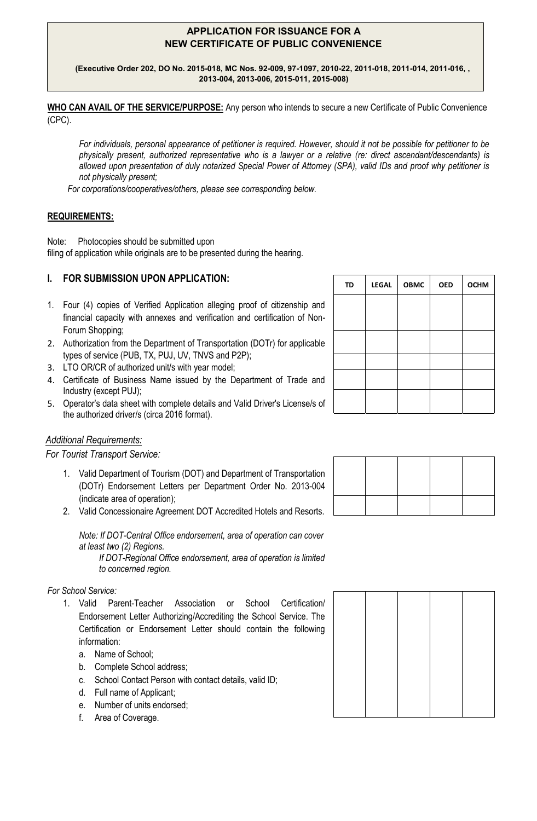# **APPLICATION FOR ISSUANCE FOR A NEW CERTIFICATE OF PUBLIC CONVENIENCE**

**(Executive Order 202, DO No. 2015-018, MC Nos. 92-009, 97-1097, 2010-22, 2011-018, 2011-014, 2011-016, , 2013-004, 2013-006, 2015-011, 2015-008)** 

**WHO CAN AVAIL OF THE SERVICE/PURPOSE:** Any person who intends to secure a new Certificate of Public Convenience (CPC).

*For individuals, personal appearance of petitioner is required. However, should it not be possible for petitioner to be physically present, authorized representative who is a lawyer or a relative (re: direct ascendant/descendants) is allowed upon presentation of duly notarized Special Power of Attorney (SPA), valid IDs and proof why petitioner is not physically present;* 

*For corporations/cooperatives/others, please see corresponding below.* 

#### **REQUIREMENTS:**

Note: Photocopies should be submitted upon filing of application while originals are to be presented during the hearing.

**I. FOR SUBMISSION UPON APPLICATION:** 

- 1. Four (4) copies of Verified Application alleging proof of citizenship and financial capacity with annexes and verification and certification of Non-Forum Shopping;
- 2. Authorization from the Department of Transportation (DOTr) for applicable types of service (PUB, TX, PUJ, UV, TNVS and P2P);
- 3. LTO OR/CR of authorized unit/s with year model;
- 4. Certificate of Business Name issued by the Department of Trade and Industry (except PUJ);
- 5. Operator's data sheet with complete details and Valid Driver's License/s of the authorized driver/s (circa 2016 format).

### *Additional Requirements:*

*For Tourist Transport Service:* 

- 1. Valid Department of Tourism (DOT) and Department of Transportation (DOTr) Endorsement Letters per Department Order No. 2013-004 (indicate area of operation);
- 2. Valid Concessionaire Agreement DOT Accredited Hotels and Resorts.

*Note: If DOT-Central Office endorsement, area of operation can cover at least two (2) Regions.* 

*If DOT-Regional Office endorsement, area of operation is limited to concerned region.* 

### *For School Service:*

- 1. Valid Parent-Teacher Association or School Certification/ Endorsement Letter Authorizing/Accrediting the School Service. The Certification or Endorsement Letter should contain the following information:
	- a. Name of School;
	- b. Complete School address;
	- c. School Contact Person with contact details, valid ID;
	- d. Full name of Applicant;
	- e. Number of units endorsed;
	- f. Area of Coverage.

| <b>LEGAL</b> | <b>OBMC</b> | <b>OED</b> | <b>OCHM</b> |
|--------------|-------------|------------|-------------|
|              |             |            |             |
|              |             |            |             |
|              |             |            |             |
|              |             |            |             |
|              |             |            |             |
|              |             |            |             |
|              |             |            |             |

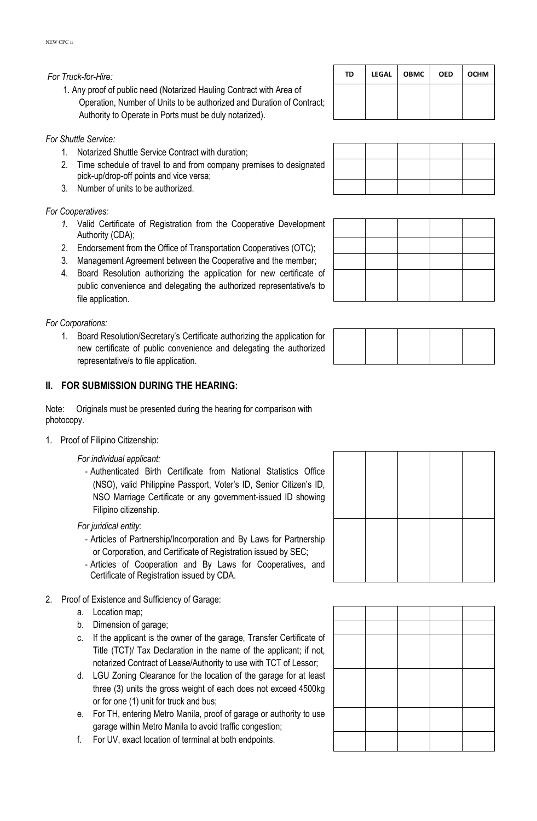## *For Truck-for-Hire:*

1. Any proof of public need (Notarized Hauling Contract with Area of Operation, Number of Units to be authorized and Duration of Contract; Authority to Operate in Ports must be duly notarized).

*For Shuttle Service:* 

- 1. Notarized Shuttle Service Contract with duration;
- 2. Time schedule of travel to and from company premises to designated pick-up/drop-off points and vice versa;
- 3. Number of units to be authorized.

# *For Cooperatives:*

- *1.* Valid Certificate of Registration from the Cooperative Development Authority (CDA);
- 2. Endorsement from the Office of Transportation Cooperatives (OTC);
- 3. Management Agreement between the Cooperative and the member;
- 4. Board Resolution authorizing the application for new certificate of public convenience and delegating the authorized representative/s to file application.

*For Corporations:* 

1. Board Resolution/Secretary's Certificate authorizing the application for new certificate of public convenience and delegating the authorized representative/s to file application.

# **II. FOR SUBMISSION DURING THE HEARING:**

Note: Originals must be presented during the hearing for comparison with photocopy.

## 1. Proof of Filipino Citizenship:

## *For individual applicant:*

- Authenticated Birth Certificate from National Statistics Office (NSO), valid Philippine Passport, Voter's ID, Senior Citizen's ID, NSO Marriage Certificate or any government-issued ID showing Filipino citizenship.

*For juridical entity:* 

- Articles of Partnership/Incorporation and By Laws for Partnership or Corporation, and Certificate of Registration issued by SEC;
- Articles of Cooperation and By Laws for Cooperatives, and Certificate of Registration issued by CDA.
- 2. Proof of Existence and Sufficiency of Garage:
	- a. Location map;
		- b. Dimension of garage;
		- c. If the applicant is the owner of the garage, Transfer Certificate of Title (TCT)/ Tax Declaration in the name of the applicant; if not, notarized Contract of Lease/Authority to use with TCT of Lessor;
		- d. LGU Zoning Clearance for the location of the garage for at least three (3) units the gross weight of each does not exceed 4500kg or for one (1) unit for truck and bus;
		- e. For TH, entering Metro Manila, proof of garage or authority to use garage within Metro Manila to avoid traffic congestion;
		- f. For UV, exact location of terminal at both endpoints.

| TD | LEGAL   OBMC | <b>OED</b> | <b>OCHM</b> |
|----|--------------|------------|-------------|
|    |              |            |             |
|    |              |            |             |